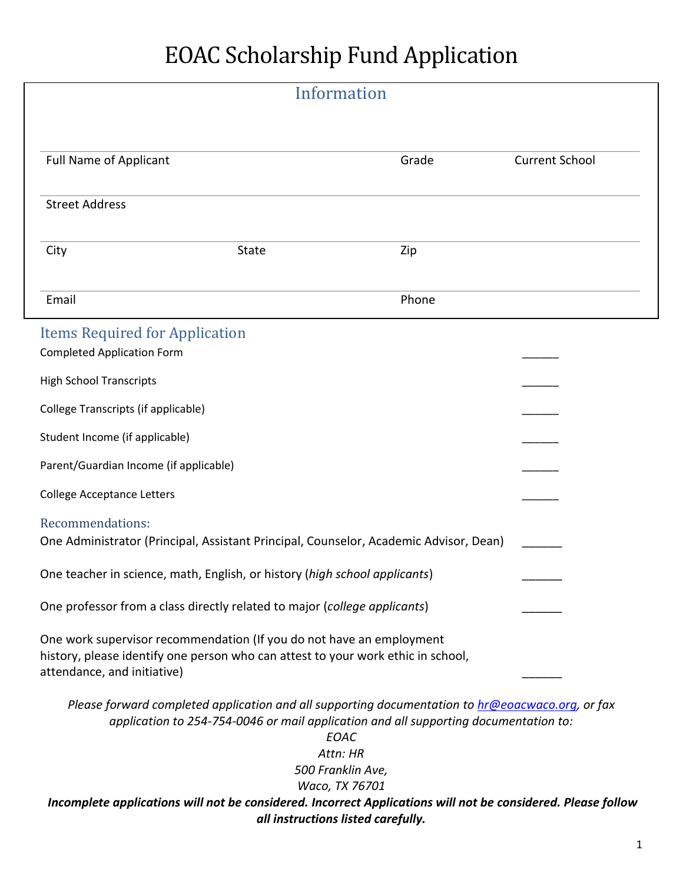## EOAC Scholarship Fund Application

|                                                                                                                                                                                         |                                                                            | Information                                                                                                                                                                                                                                         |                       |
|-----------------------------------------------------------------------------------------------------------------------------------------------------------------------------------------|----------------------------------------------------------------------------|-----------------------------------------------------------------------------------------------------------------------------------------------------------------------------------------------------------------------------------------------------|-----------------------|
| <b>Full Name of Applicant</b>                                                                                                                                                           |                                                                            | Grade                                                                                                                                                                                                                                               | <b>Current School</b> |
| <b>Street Address</b>                                                                                                                                                                   |                                                                            |                                                                                                                                                                                                                                                     |                       |
| City                                                                                                                                                                                    | <b>State</b>                                                               | Zip                                                                                                                                                                                                                                                 |                       |
| Email                                                                                                                                                                                   |                                                                            | Phone                                                                                                                                                                                                                                               |                       |
| <b>Items Required for Application</b><br><b>Completed Application Form</b>                                                                                                              |                                                                            |                                                                                                                                                                                                                                                     |                       |
| <b>High School Transcripts</b>                                                                                                                                                          |                                                                            |                                                                                                                                                                                                                                                     |                       |
| College Transcripts (if applicable)                                                                                                                                                     |                                                                            |                                                                                                                                                                                                                                                     |                       |
| Student Income (if applicable)                                                                                                                                                          |                                                                            |                                                                                                                                                                                                                                                     |                       |
| Parent/Guardian Income (if applicable)                                                                                                                                                  |                                                                            |                                                                                                                                                                                                                                                     |                       |
| <b>College Acceptance Letters</b>                                                                                                                                                       |                                                                            |                                                                                                                                                                                                                                                     |                       |
| Recommendations:                                                                                                                                                                        |                                                                            | One Administrator (Principal, Assistant Principal, Counselor, Academic Advisor, Dean)                                                                                                                                                               |                       |
|                                                                                                                                                                                         | One teacher in science, math, English, or history (high school applicants) |                                                                                                                                                                                                                                                     |                       |
| One professor from a class directly related to major (college applicants)                                                                                                               |                                                                            |                                                                                                                                                                                                                                                     |                       |
| One work supervisor recommendation (If you do not have an employment<br>history, please identify one person who can attest to your work ethic in school,<br>attendance, and initiative) |                                                                            |                                                                                                                                                                                                                                                     |                       |
|                                                                                                                                                                                         |                                                                            | Please forward completed application and all supporting documentation to hr@eoacwaco.org, or fax<br>application to 254-754-0046 or mail application and all supporting documentation to:<br>EOAC<br>Attn: HR<br>500 Franklin Ave,<br>Waco, TX 76701 |                       |
|                                                                                                                                                                                         |                                                                            | Incomplete applications will not be considered. Incorrect Applications will not be considered. Please follow<br>all instructions listed carefully.                                                                                                  |                       |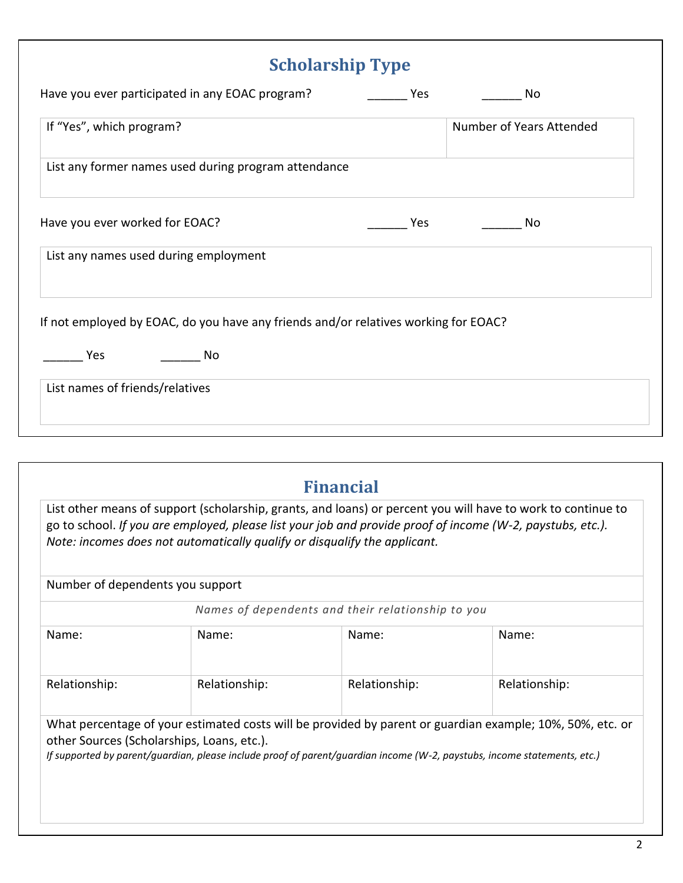| <b>Scholarship Type</b>                                                             |     |                          |  |  |
|-------------------------------------------------------------------------------------|-----|--------------------------|--|--|
| Have you ever participated in any EOAC program?                                     | Yes | No                       |  |  |
| If "Yes", which program?                                                            |     | Number of Years Attended |  |  |
| List any former names used during program attendance                                |     |                          |  |  |
| Have you ever worked for EOAC?                                                      | Yes | No                       |  |  |
| List any names used during employment                                               |     |                          |  |  |
| If not employed by EOAC, do you have any friends and/or relatives working for EOAC? |     |                          |  |  |
| Yes<br>No                                                                           |     |                          |  |  |
| List names of friends/relatives                                                     |     |                          |  |  |
|                                                                                     |     |                          |  |  |

|                                  | Note: incomes does not automatically qualify or disqualify the applicant.                                                                                              | <b>Financial</b>                                  | List other means of support (scholarship, grants, and loans) or percent you will have to work to continue to<br>go to school. If you are employed, please list your job and provide proof of income (W-2, paystubs, etc.). |
|----------------------------------|------------------------------------------------------------------------------------------------------------------------------------------------------------------------|---------------------------------------------------|----------------------------------------------------------------------------------------------------------------------------------------------------------------------------------------------------------------------------|
| Number of dependents you support |                                                                                                                                                                        |                                                   |                                                                                                                                                                                                                            |
|                                  |                                                                                                                                                                        | Names of dependents and their relationship to you |                                                                                                                                                                                                                            |
| Name:                            | Name:                                                                                                                                                                  | Name:                                             | Name:                                                                                                                                                                                                                      |
| Relationship:                    | Relationship:                                                                                                                                                          | Relationship:                                     | Relationship:                                                                                                                                                                                                              |
|                                  | other Sources (Scholarships, Loans, etc.).<br>If supported by parent/quardian, please include proof of parent/quardian income (W-2, paystubs, income statements, etc.) |                                                   | What percentage of your estimated costs will be provided by parent or guardian example; 10%, 50%, etc. or                                                                                                                  |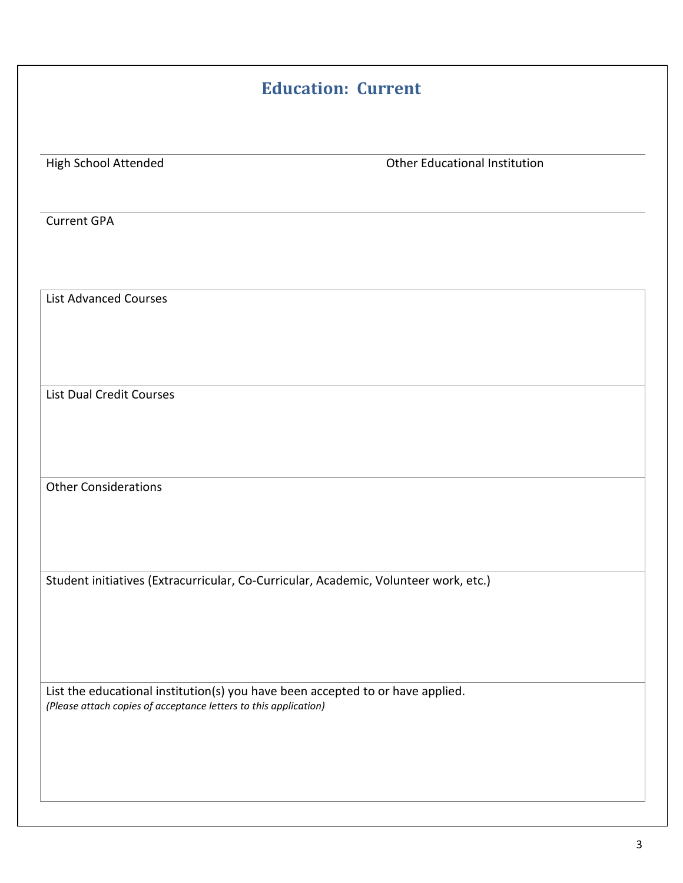| <b>Education: Current</b>                                        |                                                                                      |  |  |  |
|------------------------------------------------------------------|--------------------------------------------------------------------------------------|--|--|--|
|                                                                  |                                                                                      |  |  |  |
| High School Attended                                             | Other Educational Institution                                                        |  |  |  |
| <b>Current GPA</b>                                               |                                                                                      |  |  |  |
| <b>List Advanced Courses</b>                                     |                                                                                      |  |  |  |
|                                                                  |                                                                                      |  |  |  |
| <b>List Dual Credit Courses</b>                                  |                                                                                      |  |  |  |
|                                                                  |                                                                                      |  |  |  |
| <b>Other Considerations</b>                                      |                                                                                      |  |  |  |
|                                                                  |                                                                                      |  |  |  |
|                                                                  | Student initiatives (Extracurricular, Co-Curricular, Academic, Volunteer work, etc.) |  |  |  |
|                                                                  |                                                                                      |  |  |  |
|                                                                  |                                                                                      |  |  |  |
| (Please attach copies of acceptance letters to this application) | List the educational institution(s) you have been accepted to or have applied.       |  |  |  |
|                                                                  |                                                                                      |  |  |  |
|                                                                  |                                                                                      |  |  |  |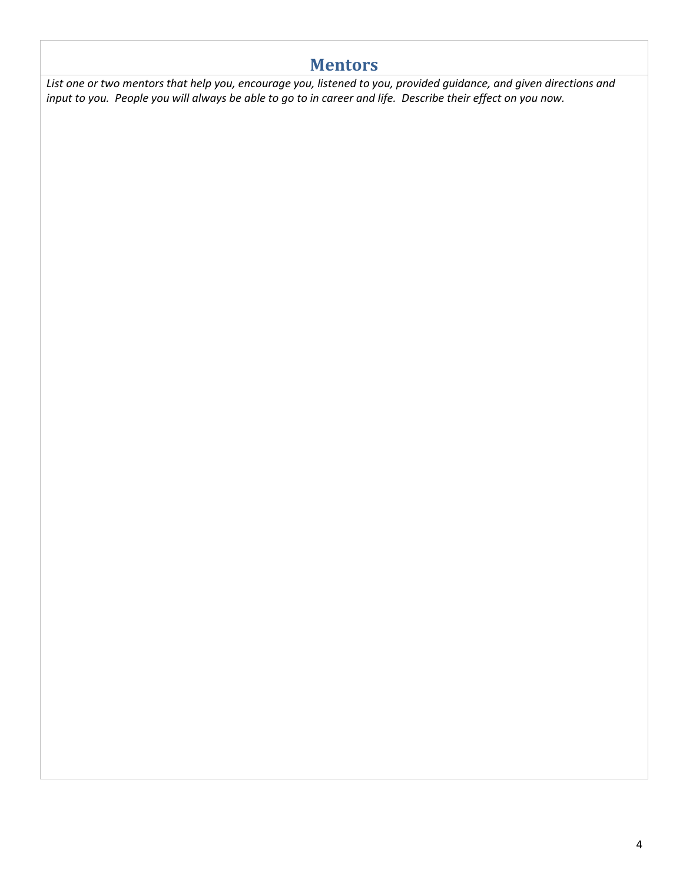## **Mentors**

*List one or two mentors that help you, encourage you, listened to you, provided guidance, and given directions and input to you. People you will always be able to go to in career and life. Describe their effect on you now.*